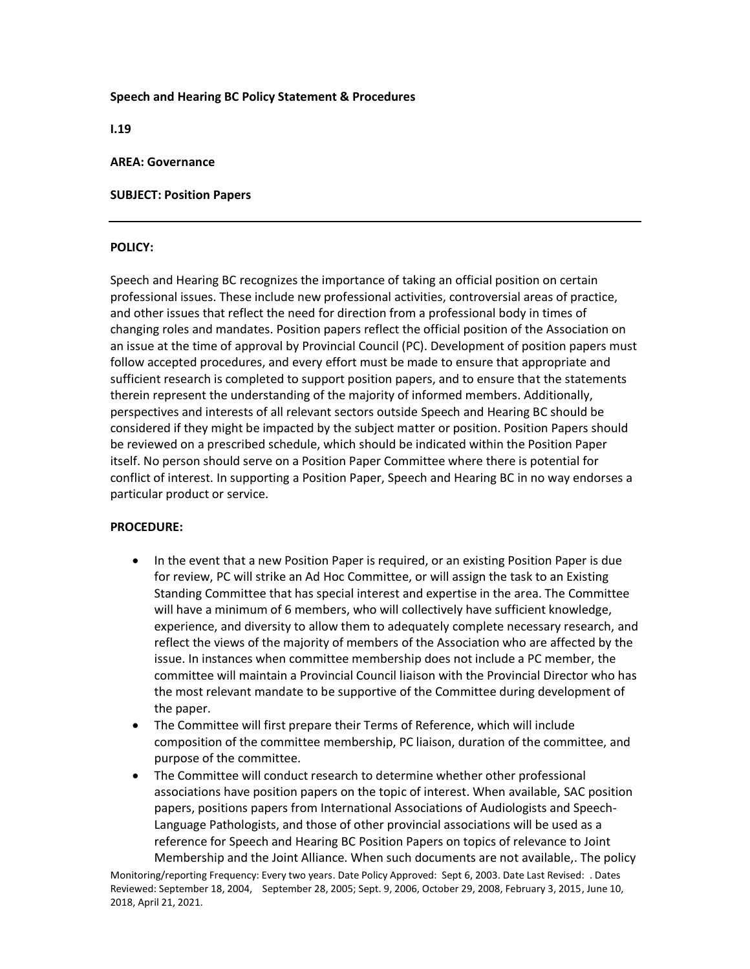#### **Speech and Hearing BC Policy Statement & Procedures**

**I.19**

#### **AREA: Governance**

## **SUBJECT: Position Papers**

## **POLICY:**

Speech and Hearing BC recognizes the importance of taking an official position on certain professional issues. These include new professional activities, controversial areas of practice, and other issues that reflect the need for direction from a professional body in times of changing roles and mandates. Position papers reflect the official position of the Association on an issue at the time of approval by Provincial Council (PC). Development of position papers must follow accepted procedures, and every effort must be made to ensure that appropriate and sufficient research is completed to support position papers, and to ensure that the statements therein represent the understanding of the majority of informed members. Additionally, perspectives and interests of all relevant sectors outside Speech and Hearing BC should be considered if they might be impacted by the subject matter or position. Position Papers should be reviewed on a prescribed schedule, which should be indicated within the Position Paper itself. No person should serve on a Position Paper Committee where there is potential for conflict of interest. In supporting a Position Paper, Speech and Hearing BC in no way endorses a particular product or service.

# **PROCEDURE:**

- In the event that a new Position Paper is required, or an existing Position Paper is due for review, PC will strike an Ad Hoc Committee, or will assign the task to an Existing Standing Committee that has special interest and expertise in the area. The Committee will have a minimum of 6 members, who will collectively have sufficient knowledge, experience, and diversity to allow them to adequately complete necessary research, and reflect the views of the majority of members of the Association who are affected by the issue. In instances when committee membership does not include a PC member, the committee will maintain a Provincial Council liaison with the Provincial Director who has the most relevant mandate to be supportive of the Committee during development of the paper.
- The Committee will first prepare their Terms of Reference, which will include composition of the committee membership, PC liaison, duration of the committee, and purpose of the committee.
- The Committee will conduct research to determine whether other professional associations have position papers on the topic of interest. When available, SAC position papers, positions papers from International Associations of Audiologists and Speech-Language Pathologists, and those of other provincial associations will be used as a reference for Speech and Hearing BC Position Papers on topics of relevance to Joint Membership and the Joint Alliance. When such documents are not available,. The policy

Monitoring/reporting Frequency: Every two years. Date Policy Approved: Sept 6, 2003. Date Last Revised: . Dates Reviewed: September 18, 2004, September 28, 2005; Sept. 9, 2006, October 29, 2008, February 3, 2015, June 10, 2018, April 21, 2021.